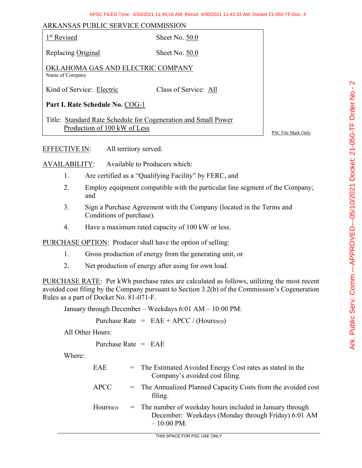## ARKANSAS PUBLIC SERVICE COMMISSION

|--|

Sheet No. 50.0

Replacing Original Sheet No. 50.0

OKLAHOMA GAS AND ELECTRIC COMPANY Name of Company

Kind of Service: Electric Class of Service: All

**Part I. Rate Schedule No.** COG-1

Title: Standard Rate Schedule for Cogeneration and Small Power Production of 100 kW of Less

PSC File Mark Only

EFFECTIVE IN: All territory served.

AVAILABILITY: Available to Producers which:

- 1. Are certified as a "Qualifying Facility" by FERC, and
- 2. Employ equipment compatible with the particular line segment of the Company; and
- 3. Sign a Purchase Agreement with the Company (located in the Terms and Conditions of purchase).
- 4. Have a maximum rated capacity of 100 kW or less.

PURCHASE OPTION: Producer shall have the option of selling:

- 1. Gross production of energy from the generating unit, or
- 2. Net production of energy after using for own load.

PURCHASE RATE: Per kWh purchase rates are calculated as follows, utilizing the most recent avoided cost filing by the Company pursuant to Section 3.2(b) of the Commission's Cogeneration Rules as a part of Docket No. 81-071-F.

January through December – Weekdays 6:01 AM – 10:00 PM:

Purchase Rate =  $EAE + APCC / (HourswD)$ 

All Other Hours:

Purchase Rate = EAE

Where:

| <b>EAE</b>  | = The Estimated Avoided Energy Cost rates as stated in the<br>Company's avoided cost filing.                                              |
|-------------|-------------------------------------------------------------------------------------------------------------------------------------------|
| <b>APCC</b> | = The Annualized Planned Capacity Costs from the avoided cost<br>filing.                                                                  |
| Hourswp     | $=$ The number of weekday hours included in January through<br>December: Weekdays (Monday through Friday) 6:01 AM<br>$-10:00 \text{ PM}.$ |